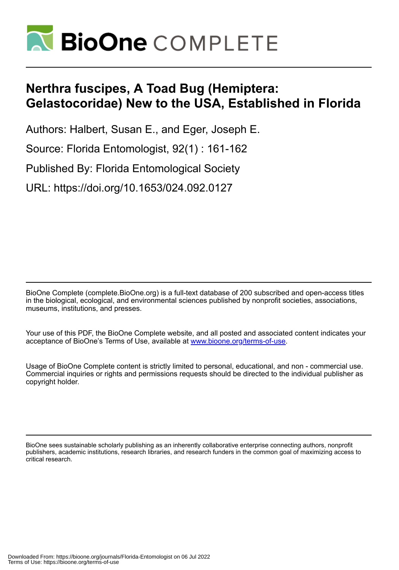

# **Nerthra fuscipes, A Toad Bug (Hemiptera: Gelastocoridae) New to the USA, Established in Florida**

Authors: Halbert, Susan E., and Eger, Joseph E.

Source: Florida Entomologist, 92(1) : 161-162

Published By: Florida Entomological Society

URL: https://doi.org/10.1653/024.092.0127

BioOne Complete (complete.BioOne.org) is a full-text database of 200 subscribed and open-access titles in the biological, ecological, and environmental sciences published by nonprofit societies, associations, museums, institutions, and presses.

Your use of this PDF, the BioOne Complete website, and all posted and associated content indicates your acceptance of BioOne's Terms of Use, available at www.bioone.org/terms-of-use.

Usage of BioOne Complete content is strictly limited to personal, educational, and non - commercial use. Commercial inquiries or rights and permissions requests should be directed to the individual publisher as copyright holder.

BioOne sees sustainable scholarly publishing as an inherently collaborative enterprise connecting authors, nonprofit publishers, academic institutions, research libraries, and research funders in the common goal of maximizing access to critical research.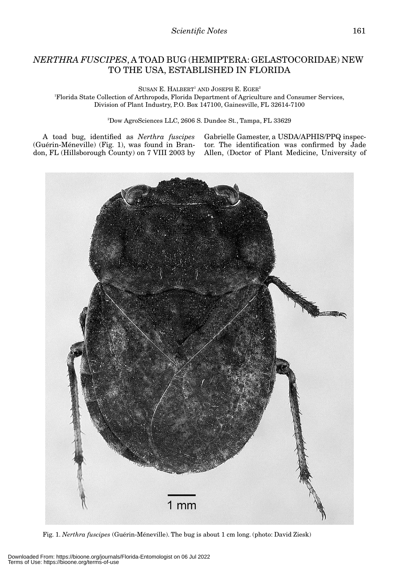## *NERTHRA FUSCIPES*, A TOAD BUG (HEMIPTERA: GELASTOCORIDAE) NEW TO THE USA, ESTABLISHED IN FLORIDA

SUSAN E. HALBERT<sup>1</sup> AND JOSEPH E. EGER<sup>2</sup> 1 Florida State Collection of Arthropods, Florida Department of Agriculture and Consumer Services, Division of Plant Industry, P.O. Box 147100, Gainesville, FL 32614-7100

2 Dow AgroSciences LLC, 2606 S. Dundee St., Tampa, FL 33629

A toad bug, identified as *Nerthra fuscipes* (Guérin-Méneville) (Fig. 1), was found in Brandon, FL (Hillsborough County) on 7 VIII 2003 by Gabrielle Gamester, a USDA/APHIS/PPQ inspector. The identification was confirmed by Jade Allen, (Doctor of Plant Medicine, University of



Fig. 1. *Nerthra fuscipes* (Guérin-Méneville). The bug is about 1 cm long. (photo: David Ziesk)